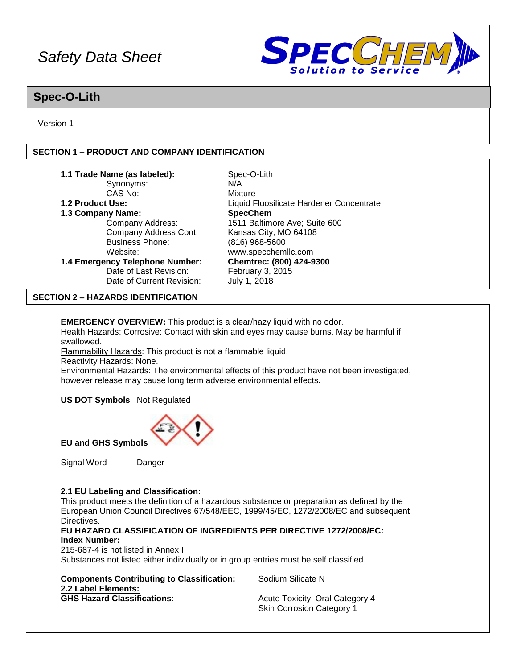

### **Spec-O-Lith**

Version 1

### **SECTION 1 – PRODUCT AND COMPANY IDENTIFICATION**

| 1.1 Trade Name (as labeled):                      | Spec-O-Lith                              |
|---------------------------------------------------|------------------------------------------|
| Synonyms:                                         | N/A                                      |
| CAS No:                                           | Mixture                                  |
| 1.2 Product Use:                                  | Liquid Fluosilicate Hardener Concentrate |
| 1.3 Company Name:                                 | <b>SpecChem</b>                          |
| Company Address:                                  | 1511 Baltimore Ave; Suite 600            |
| Company Address Cont:                             | Kansas City, MO 64108                    |
| <b>Business Phone:</b>                            | $(816)$ 968-5600                         |
| Website:                                          | www.specchemllc.com                      |
| 1.4 Emergency Telephone Number:                   | Chemtrec: (800) 424-9300                 |
| Date of Last Revision:                            | February 3, 2015                         |
| Date of Current Revision:                         | July 1, 2018                             |
| <b>CENTINNIA</b><br><b>UAZADDO IDENTIFICATION</b> |                                          |

### **SECTION 2 – HAZARDS IDENTIFICATION**

**EMERGENCY OVERVIEW:** This product is a clear/hazy liquid with no odor. Health Hazards: Corrosive: Contact with skin and eyes may cause burns. May be harmful if swallowed.

Flammability Hazards: This product is not a flammable liquid.

Reactivity Hazards: None.

Environmental Hazards: The environmental effects of this product have not been investigated, however release may cause long term adverse environmental effects.

**US DOT Symbols** Not Regulated



**EU and GHS Symbols**

Signal Word Danger

### **2.1 EU Labeling and Classification:**

This product meets the definition of a hazardous substance or preparation as defined by the European Union Council Directives 67/548/EEC, 1999/45/EC, 1272/2008/EC and subsequent Directives.

### **EU HAZARD CLASSIFICATION OF INGREDIENTS PER DIRECTIVE 1272/2008/EC: Index Number:**

215-687-4 is not listed in Annex I

Substances not listed either individually or in group entries must be self classified.

| <b>Components Contributing to Classification:</b> |
|---------------------------------------------------|
| 2.2 Label Elements:                               |
| <b>GHS Hazard Classifications:</b>                |

**Sodium Silicate N** 

**Acute Toxicity, Oral Category 4** Skin Corrosion Category 1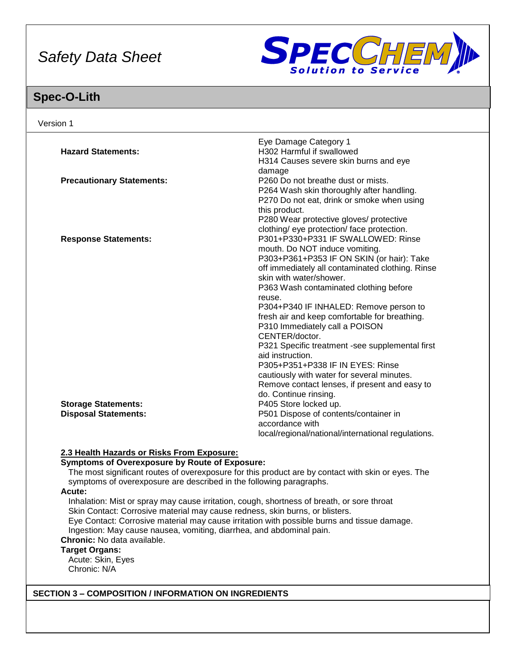

## **Spec-O-Lith**

|                                                                     | Eye Damage Category 1                                                                              |
|---------------------------------------------------------------------|----------------------------------------------------------------------------------------------------|
| <b>Hazard Statements:</b>                                           | H302 Harmful if swallowed                                                                          |
|                                                                     | H314 Causes severe skin burns and eye                                                              |
|                                                                     | damage                                                                                             |
| <b>Precautionary Statements:</b>                                    | P260 Do not breathe dust or mists.                                                                 |
|                                                                     | P264 Wash skin thoroughly after handling.                                                          |
|                                                                     | P270 Do not eat, drink or smoke when using                                                         |
|                                                                     | this product.                                                                                      |
|                                                                     | P280 Wear protective gloves/ protective                                                            |
|                                                                     | clothing/ eye protection/ face protection.                                                         |
| <b>Response Statements:</b>                                         | P301+P330+P331 IF SWALLOWED: Rinse                                                                 |
|                                                                     | mouth. Do NOT induce vomiting.                                                                     |
|                                                                     | P303+P361+P353 IF ON SKIN (or hair): Take                                                          |
|                                                                     | off immediately all contaminated clothing. Rinse<br>skin with water/shower.                        |
|                                                                     | P363 Wash contaminated clothing before                                                             |
|                                                                     | reuse.                                                                                             |
|                                                                     | P304+P340 IF INHALED: Remove person to                                                             |
|                                                                     | fresh air and keep comfortable for breathing.                                                      |
|                                                                     | P310 Immediately call a POISON                                                                     |
|                                                                     | CENTER/doctor.                                                                                     |
|                                                                     | P321 Specific treatment -see supplemental first                                                    |
|                                                                     | aid instruction.                                                                                   |
|                                                                     | P305+P351+P338 IF IN EYES: Rinse                                                                   |
|                                                                     | cautiously with water for several minutes.                                                         |
|                                                                     | Remove contact lenses, if present and easy to                                                      |
|                                                                     | do. Continue rinsing.                                                                              |
| <b>Storage Statements:</b>                                          | P405 Store locked up.                                                                              |
| <b>Disposal Statements:</b>                                         | P501 Dispose of contents/container in                                                              |
|                                                                     | accordance with                                                                                    |
|                                                                     | local/regional/national/international regulations.                                                 |
| 2.3 Health Hazards or Risks From Exposure:                          |                                                                                                    |
| <b>Symptoms of Overexposure by Route of Exposure:</b>               |                                                                                                    |
|                                                                     | The most significant routes of overexposure for this product are by contact with skin or eyes. The |
| symptoms of overexposure are described in the following paragraphs. |                                                                                                    |
| Acute:                                                              |                                                                                                    |

Eye Contact: Corrosive material may cause irritation with possible burns and tissue damage.

Ingestion: May cause nausea, vomiting, diarrhea, and abdominal pain.

**Chronic:** No data available.

### **Target Organs:**

Acute: Skin, Eyes Chronic: N/A

### **SECTION 3 – COMPOSITION / INFORMATION ON INGREDIENTS**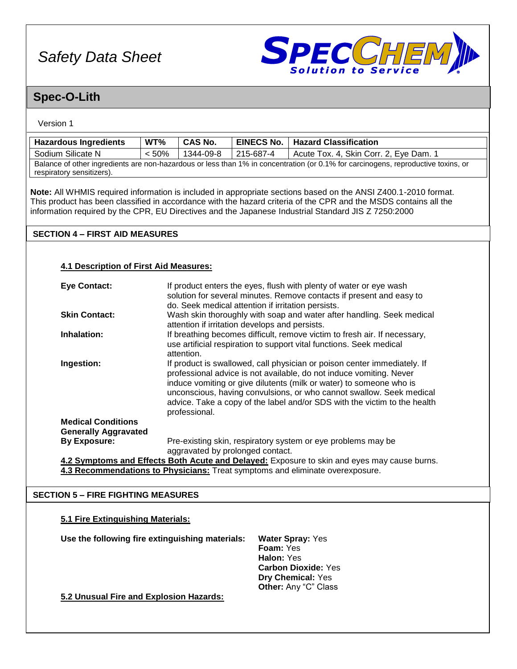

### **Spec-O-Lith**

### Version 1

| <b>Hazardous Ingredients</b> | WT%      | <b>CAS No.</b> | <b>EINECS No.</b> | <b>Hazard Classification</b>                                                                                                      |
|------------------------------|----------|----------------|-------------------|-----------------------------------------------------------------------------------------------------------------------------------|
| Sodium Silicate N            | $< 50\%$ | 1344-09-8      | 215-687-4         | Acute Tox. 4, Skin Corr. 2, Eye Dam. 1                                                                                            |
| respiratory sensitizers).    |          |                |                   | Balance of other ingredients are non-hazardous or less than 1% in concentration (or 0.1% for carcinogens, reproductive toxins, or |

**Note:** All WHMIS required information is included in appropriate sections based on the ANSI Z400.1-2010 format. This product has been classified in accordance with the hazard criteria of the CPR and the MSDS contains all the information required by the CPR, EU Directives and the Japanese Industrial Standard JIS Z 7250:2000

### **SECTION 4 – FIRST AID MEASURES**

### **4.1 Description of First Aid Measures:**

| <b>Eye Contact:</b>                                      | If product enters the eyes, flush with plenty of water or eye wash<br>solution for several minutes. Remove contacts if present and easy to<br>do. Seek medical attention if irritation persists.                                                                                                                                                                                             |
|----------------------------------------------------------|----------------------------------------------------------------------------------------------------------------------------------------------------------------------------------------------------------------------------------------------------------------------------------------------------------------------------------------------------------------------------------------------|
| <b>Skin Contact:</b>                                     | Wash skin thoroughly with soap and water after handling. Seek medical<br>attention if irritation develops and persists.                                                                                                                                                                                                                                                                      |
| Inhalation:                                              | If breathing becomes difficult, remove victim to fresh air. If necessary,<br>use artificial respiration to support vital functions. Seek medical<br>attention.                                                                                                                                                                                                                               |
| Ingestion:                                               | If product is swallowed, call physician or poison center immediately. If<br>professional advice is not available, do not induce vomiting. Never<br>induce vomiting or give dilutents (milk or water) to someone who is<br>unconscious, having convulsions, or who cannot swallow. Seek medical<br>advice. Take a copy of the label and/or SDS with the victim to the health<br>professional. |
| <b>Medical Conditions</b><br><b>Generally Aggravated</b> |                                                                                                                                                                                                                                                                                                                                                                                              |
| <b>By Exposure:</b>                                      | Pre-existing skin, respiratory system or eye problems may be<br>aggravated by prolonged contact.                                                                                                                                                                                                                                                                                             |
|                                                          |                                                                                                                                                                                                                                                                                                                                                                                              |

**4.2 Symptoms and Effects Both Acute and Delayed:** Exposure to skin and eyes may cause burns. **4.3 Recommendations to Physicians:** Treat symptoms and eliminate overexposure.

### **SECTION 5 – FIRE FIGHTING MEASURES**

### **5.1 Fire Extinguishing Materials:**

**Use the following fire extinguishing materials: Water Spray:** Yes

**Foam:** Yes **Halon:** Yes **Carbon Dioxide:** Yes **Dry Chemical:** Yes **Other:** Any "C" Class

**5.2 Unusual Fire and Explosion Hazards:**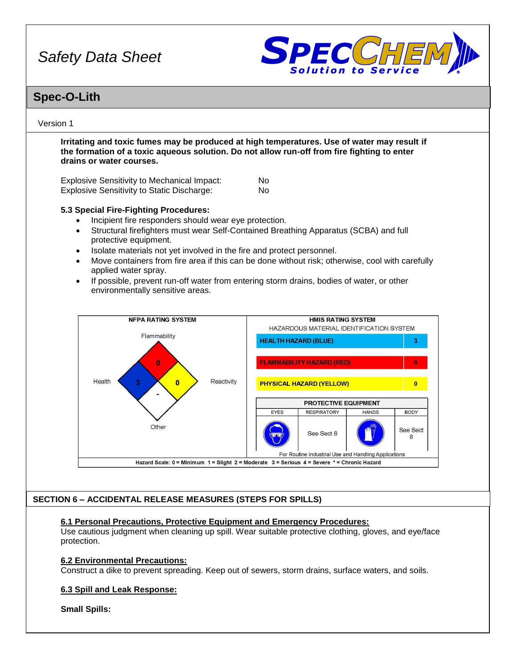

### **Spec-O-Lith**

### Version 1

**Irritating and toxic fumes may be produced at high temperatures. Use of water may result if the formation of a toxic aqueous solution. Do not allow run-off from fire fighting to enter drains or water courses.**

Explosive Sensitivity to Mechanical Impact: No Explosive Sensitivity to Static Discharge: No

### **5.3 Special Fire-Fighting Procedures:**

- Incipient fire responders should wear eye protection.
- Structural firefighters must wear Self-Contained Breathing Apparatus (SCBA) and full protective equipment.
- Isolate materials not yet involved in the fire and protect personnel.
- Move containers from fire area if this can be done without risk; otherwise, cool with carefully applied water spray.
- If possible, prevent run-off water from entering storm drains, bodies of water, or other environmentally sensitive areas.



### **SECTION 6 – ACCIDENTAL RELEASE MEASURES (STEPS FOR SPILLS)**

### **6.1 Personal Precautions, Protective Equipment and Emergency Procedures:**

Use cautious judgment when cleaning up spill. Wear suitable protective clothing, gloves, and eye/face protection.

### **6.2 Environmental Precautions:**

Construct a dike to prevent spreading. Keep out of sewers, storm drains, surface waters, and soils.

### **6.3 Spill and Leak Response:**

**Small Spills:**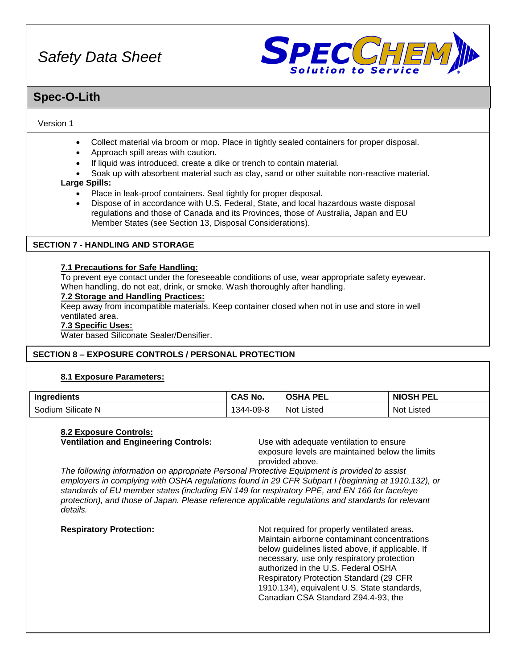

### **Spec-O-Lith**

### Version 1

- Collect material via broom or mop. Place in tightly sealed containers for proper disposal.
- Approach spill areas with caution.
- If liquid was introduced, create a dike or trench to contain material.
- Soak up with absorbent material such as clay, sand or other suitable non-reactive material.

### **Large Spills:**

- Place in leak-proof containers. Seal tightly for proper disposal.
- Dispose of in accordance with U.S. Federal, State, and local hazardous waste disposal regulations and those of Canada and its Provinces, those of Australia, Japan and EU Member States (see Section 13, Disposal Considerations).

### **SECTION 7 - HANDLING AND STORAGE**

### **7.1 Precautions for Safe Handling:**

To prevent eye contact under the foreseeable conditions of use, wear appropriate safety eyewear. When handling, do not eat, drink, or smoke. Wash thoroughly after handling.

### **7.2 Storage and Handling Practices:**

Keep away from incompatible materials. Keep container closed when not in use and store in well ventilated area.

### **7.3 Specific Uses:**

Water based Siliconate Sealer/Densifier.

### **SECTION 8 – EXPOSURE CONTROLS / PERSONAL PROTECTION**

### **8.1 Exposure Parameters:**

| <b>Ingredients</b>         | <b>CAS No.</b> | <b>OSHA</b><br>PEL | <b>NIOSH</b><br>PEL |
|----------------------------|----------------|--------------------|---------------------|
| ~…<br>Sodium<br>Silicate N | 344-09-8       | <b>Not Listed</b>  | Not '<br>∟isted     |

### **8.2 Exposure Controls:**

**Ventilation and Engineering Controls:** Use with adequate ventilation to ensure

exposure levels are maintained below the limits provided above.

*The following information on appropriate Personal Protective Equipment is provided to assist employers in complying with OSHA regulations found in 29 CFR Subpart I (beginning at 1910.132), or standards of EU member states (including EN 149 for respiratory PPE, and EN 166 for face/eye protection), and those of Japan. Please reference applicable regulations and standards for relevant details.*

**Respiratory Protection:** Not required for properly ventilated areas. Maintain airborne contaminant concentrations below guidelines listed above, if applicable. If necessary, use only respiratory protection authorized in the U.S. Federal OSHA Respiratory Protection Standard (29 CFR 1910.134), equivalent U.S. State standards, Canadian CSA Standard Z94.4-93, the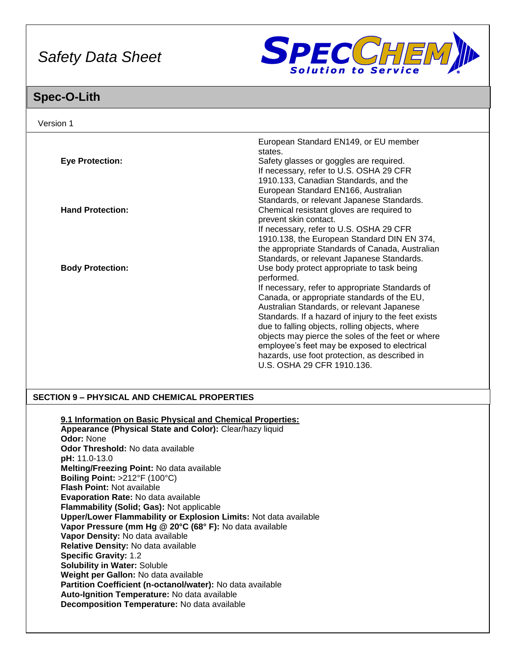

# **Spec-O-Lith**

| Version 1                                                                                                                                                                                              |                                                                                                                                                             |
|--------------------------------------------------------------------------------------------------------------------------------------------------------------------------------------------------------|-------------------------------------------------------------------------------------------------------------------------------------------------------------|
| <b>Eye Protection:</b>                                                                                                                                                                                 | European Standard EN149, or EU member<br>states.<br>Safety glasses or goggles are required.                                                                 |
|                                                                                                                                                                                                        | If necessary, refer to U.S. OSHA 29 CFR<br>1910.133, Canadian Standards, and the<br>European Standard EN166, Australian                                     |
| <b>Hand Protection:</b>                                                                                                                                                                                | Standards, or relevant Japanese Standards.<br>Chemical resistant gloves are required to<br>prevent skin contact.<br>If necessary, refer to U.S. OSHA 29 CFR |
|                                                                                                                                                                                                        | 1910.138, the European Standard DIN EN 374,<br>the appropriate Standards of Canada, Australian<br>Standards, or relevant Japanese Standards.                |
| <b>Body Protection:</b>                                                                                                                                                                                | Use body protect appropriate to task being<br>performed.<br>If necessary, refer to appropriate Standards of<br>Canada, or appropriate standards of the EU,  |
|                                                                                                                                                                                                        | Australian Standards, or relevant Japanese<br>Standards. If a hazard of injury to the feet exists<br>due to falling objects, rolling objects, where         |
|                                                                                                                                                                                                        | objects may pierce the soles of the feet or where<br>employee's feet may be exposed to electrical<br>hazards, use foot protection, as described in          |
|                                                                                                                                                                                                        | U.S. OSHA 29 CFR 1910.136.                                                                                                                                  |
| <b>SECTION 9 - PHYSICAL AND CHEMICAL PROPERTIES</b>                                                                                                                                                    |                                                                                                                                                             |
| 9.1 Information on Basic Physical and Chemical Properties:<br>Appearance (Physical State and Color): Clear/hazy liquid<br><b>Odor: None</b>                                                            |                                                                                                                                                             |
| Odor Threshold: No data available<br>pH: 11.0-13.0<br>Melting/Freezing Point: No data available<br>Boiling Point: $>212^{\circ}F(100^{\circ}C)$                                                        |                                                                                                                                                             |
| Flash Point: Not available<br>Evaporation Rate: No data available<br>Flammability (Solid; Gas): Not applicable                                                                                         |                                                                                                                                                             |
| Upper/Lower Flammability or Explosion Limits: Not data available<br>Vapor Pressure (mm Hg @ 20°C (68° F): No data available<br>Vapor Density: No data available<br>Relative Density: No data available |                                                                                                                                                             |
| <b>Specific Gravity: 1.2</b><br>Solubility in Water: Soluble<br>Weight per Gallon: No data available                                                                                                   |                                                                                                                                                             |
| Partition Coefficient (n-octanol/water): No data available<br>Auto-Ignition Temperature: No data available<br>Decomposition Temperature: No data available                                             |                                                                                                                                                             |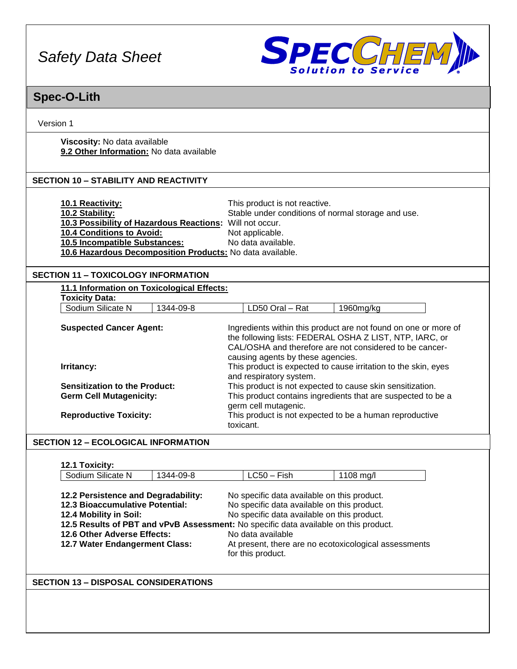

## **Spec-O-Lith**

Version 1

**Viscosity:** No data available **9.2 Other Information:** No data available

### **SECTION 10 – STABILITY AND REACTIVITY**

| <b>10.1 Reactivity:</b>                                   | This product is not reactive.                      |
|-----------------------------------------------------------|----------------------------------------------------|
| 10.2 Stability:                                           | Stable under conditions of normal storage and use. |
| 10.3 Possibility of Hazardous Reactions: Will not occur.  |                                                    |
| <b>10.4 Conditions to Avoid:</b>                          | Not applicable.                                    |
| <b>10.5 Incompatible Substances:</b>                      | No data available.                                 |
| 10.6 Hazardous Decomposition Products: No data available. |                                                    |

### **SECTION 11 – TOXICOLOGY INFORMATION**

| Sodium Silicate N                    | 1344-09-8 |                                                                | LD50 Oral - Rat                   | 1960mg/kg                                                       |  |  |
|--------------------------------------|-----------|----------------------------------------------------------------|-----------------------------------|-----------------------------------------------------------------|--|--|
| <b>Suspected Cancer Agent:</b>       |           |                                                                |                                   | Ingredients within this product are not found on one or more of |  |  |
|                                      |           | the following lists: FEDERAL OSHA Z LIST, NTP, IARC, or        |                                   |                                                                 |  |  |
|                                      |           |                                                                |                                   | CAL/OSHA and therefore are not considered to be cancer-         |  |  |
|                                      |           |                                                                | causing agents by these agencies. |                                                                 |  |  |
| Irritancy:                           |           | This product is expected to cause irritation to the skin, eyes |                                   |                                                                 |  |  |
|                                      |           |                                                                | and respiratory system.           |                                                                 |  |  |
| <b>Sensitization to the Product:</b> |           |                                                                |                                   | This product is not expected to cause skin sensitization.       |  |  |
| <b>Germ Cell Mutagenicity:</b>       |           |                                                                | germ cell mutagenic.              | This product contains ingredients that are suspected to be a    |  |  |
| <b>Reproductive Toxicity:</b>        |           |                                                                | toxicant.                         | This product is not expected to be a human reproductive         |  |  |

### **SECTION 12 – ECOLOGICAL INFORMATION**

### **12.1 Toxicity:**

| Sodium Silicate N                      | 1344-09-8 | $LC50 - Fish$                                                                        | 1108 mg/l                                             |  |  |  |
|----------------------------------------|-----------|--------------------------------------------------------------------------------------|-------------------------------------------------------|--|--|--|
|                                        |           |                                                                                      |                                                       |  |  |  |
| 12.2 Persistence and Degradability:    |           |                                                                                      | No specific data available on this product.           |  |  |  |
| <b>12.3 Bioaccumulative Potential:</b> |           | No specific data available on this product.                                          |                                                       |  |  |  |
| 12.4 Mobility in Soil:                 |           | No specific data available on this product.                                          |                                                       |  |  |  |
|                                        |           | 12.5 Results of PBT and vPvB Assessment: No specific data available on this product. |                                                       |  |  |  |
| 12.6 Other Adverse Effects:            |           | No data available                                                                    |                                                       |  |  |  |
| 12.7 Water Endangerment Class:         |           |                                                                                      | At present, there are no ecotoxicological assessments |  |  |  |
|                                        |           | for this product.                                                                    |                                                       |  |  |  |

### **SECTION 13 – DISPOSAL CONSIDERATIONS**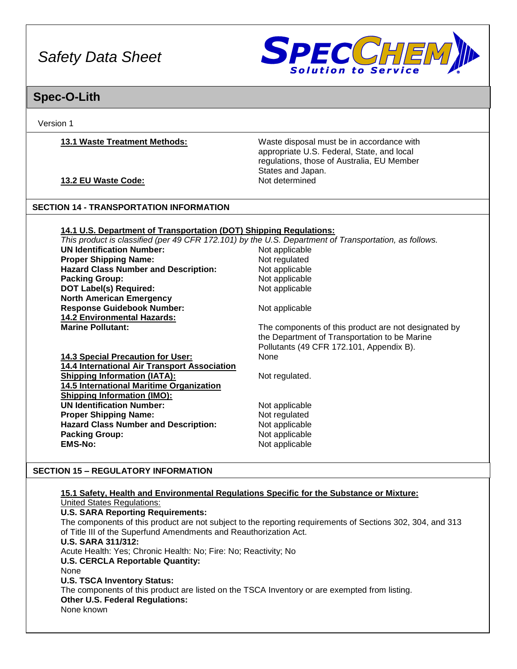

### **Spec-O-Lith**

Version 1

**13.1 Waste Treatment Methods:** Waste disposal must be in accordance with appropriate U.S. Federal, State, and local regulations, those of Australia, EU Member States and Japan.

**13.2 EU Waste Code:** Not determined

### **SECTION 14 - TRANSPORTATION INFORMATION**

### **14.1 U.S. Department of Transportation (DOT) Shipping Regulations:**

*This product is classified (per 49 CFR 172.101) by the U.S. Department of Transportation, as follows.* **UN Identification Number: Proper Shipping Name:** Not regulated Hazard Class Number and Description: Not applicable **Packing Group:** Not applicable **DOT Label(s) Required:** Not applicable **North American Emergency Response Guidebook Number:** Not applicable **14.2 Environmental Hazards: Marine Pollutant:** The components of this product are not designated by **Marine Pollutant**: the Department of Transportation to be Marine Pollutants (49 CFR 172.101, Appendix B). **14.3 Special Precaution for User:** None **14.4 International Air Transport Association Shipping Information (IATA):** Not regulated. **14.5 International Maritime Organization Shipping Information (IMO): UN Identification Number:** Not applicable **Proper Shipping Name:** Not regulated **Hazard Class Number and Description:** Not applicable **Packing Group:** Not applicable

### **SECTION 15 – REGULATORY INFORMATION**

#### **15.1 Safety, Health and Environmental Regulations Specific for the Substance or Mixture:** United States Regulations:

### **U.S. SARA Reporting Requirements:**

The components of this product are not subject to the reporting requirements of Sections 302, 304, and 313 of Title III of the Superfund Amendments and Reauthorization Act.

### **U.S. SARA 311/312:**

Acute Health: Yes; Chronic Health: No; Fire: No; Reactivity; No **U.S. CERCLA Reportable Quantity:**

**EMS-No:** Not applicable

### None

**U.S. TSCA Inventory Status:**

The components of this product are listed on the TSCA Inventory or are exempted from listing. **Other U.S. Federal Regulations:**

None known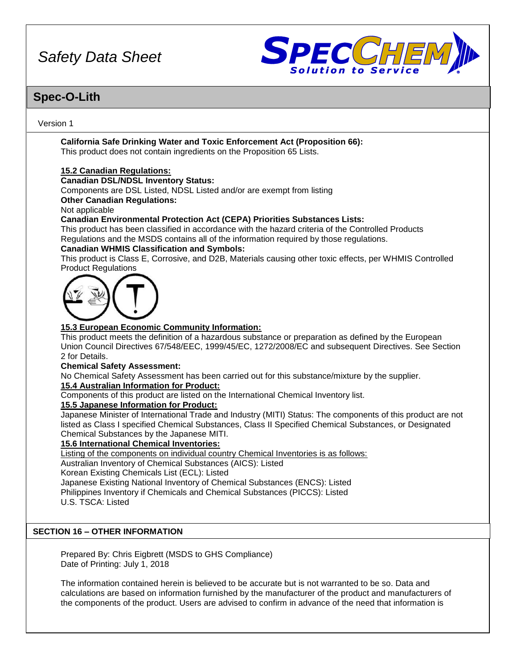

### **Spec-O-Lith**

### Version 1

**California Safe Drinking Water and Toxic Enforcement Act (Proposition 66):** This product does not contain ingredients on the Proposition 65 Lists.

### **15.2 Canadian Regulations:**

### **Canadian DSL/NDSL Inventory Status:**

Components are DSL Listed, NDSL Listed and/or are exempt from listing

### **Other Canadian Regulations:**

Not applicable

### **Canadian Environmental Protection Act (CEPA) Priorities Substances Lists:**

This product has been classified in accordance with the hazard criteria of the Controlled Products Regulations and the MSDS contains all of the information required by those regulations.

### **Canadian WHMIS Classification and Symbols:**

This product is Class E, Corrosive, and D2B, Materials causing other toxic effects, per WHMIS Controlled Product Regulations



### **15.3 European Economic Community Information:**

This product meets the definition of a hazardous substance or preparation as defined by the European Union Council Directives 67/548/EEC, 1999/45/EC, 1272/2008/EC and subsequent Directives. See Section 2 for Details.

### **Chemical Safety Assessment:**

No Chemical Safety Assessment has been carried out for this substance/mixture by the supplier.

### **15.4 Australian Information for Product:**

Components of this product are listed on the International Chemical Inventory list.

### **15.5 Japanese Information for Product:**

Japanese Minister of International Trade and Industry (MITI) Status: The components of this product are not listed as Class I specified Chemical Substances, Class II Specified Chemical Substances, or Designated Chemical Substances by the Japanese MITI.

### **15.6 International Chemical Inventories:**

Listing of the components on individual country Chemical Inventories is as follows: Australian Inventory of Chemical Substances (AICS): Listed Korean Existing Chemicals List (ECL): Listed Japanese Existing National Inventory of Chemical Substances (ENCS): Listed Philippines Inventory if Chemicals and Chemical Substances (PICCS): Listed U.S. TSCA: Listed

### **SECTION 16 – OTHER INFORMATION**

Prepared By: Chris Eigbrett (MSDS to GHS Compliance) Date of Printing: July 1, 2018

The information contained herein is believed to be accurate but is not warranted to be so. Data and calculations are based on information furnished by the manufacturer of the product and manufacturers of the components of the product. Users are advised to confirm in advance of the need that information is